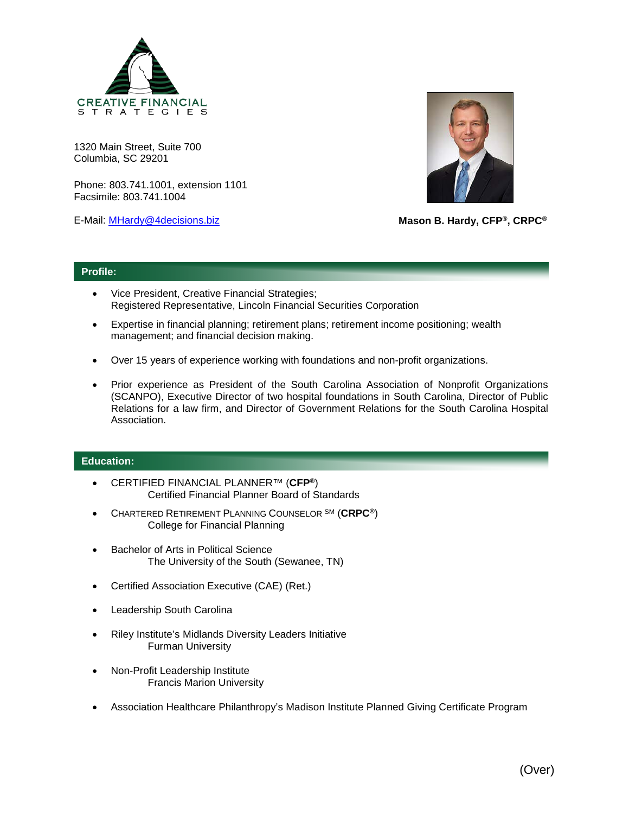

1320 Main Street, Suite 700 Columbia, SC 29201

Phone: 803.741.1001, extension 1101 Facsimile: 803.741.1004

E-Mail: [MHardy@4decisions.biz](mailto:MHardy@4decisions.biz)



**Mason B. Hardy, CFP®, CRPC®**

## **Profile:**

- Vice President, Creative Financial Strategies; Registered Representative, Lincoln Financial Securities Corporation
- Expertise in financial planning; retirement plans; retirement income positioning; wealth management; and financial decision making.
- Over 15 years of experience working with foundations and non-profit organizations.
- Prior experience as President of the South Carolina Association of Nonprofit Organizations (SCANPO), Executive Director of two hospital foundations in South Carolina, Director of Public Relations for a law firm, and Director of Government Relations for the South Carolina Hospital Association.

## **Education:**

- CERTIFIED FINANCIAL PLANNER™ (**CFP®**) Certified Financial Planner Board of Standards
- CHARTERED RETIREMENT PLANNING COUNSELOR SM (**CRPC®**) College for Financial Planning
- Bachelor of Arts in Political Science The University of the South (Sewanee, TN)
- Certified Association Executive (CAE) (Ret.)
- Leadership South Carolina
- Riley Institute's Midlands Diversity Leaders Initiative Furman University
- Non-Profit Leadership Institute Francis Marion University
- Association Healthcare Philanthropy's Madison Institute Planned Giving Certificate Program